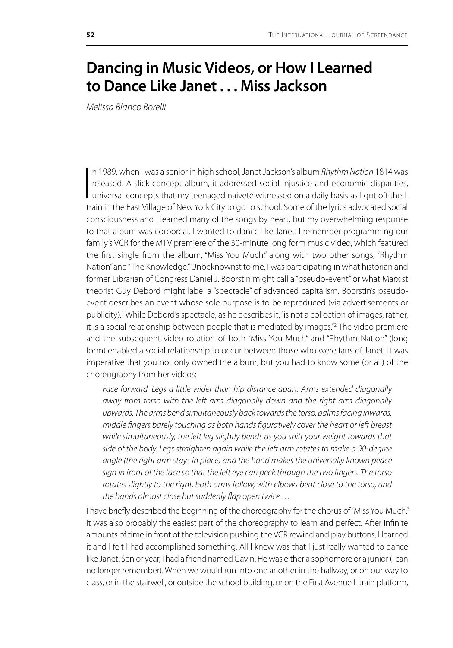## **Dancing in Music Videos, or How I Learned to Dance Like Janet . . . Miss Jackson**

*Melissa Blanco Borelli*

 $\prod_{\substack{1\\ \vdots\\ \substack{1\\ \vdots\\ \substack{1\\ \vdots\\ \substack{1\\ \vdots\\ \substack{1\\ \vdots\\ \substack{1\\ \vdots\\ \substack{1\\ \vdots\\ \substack{1\\ \vdots\\ \substack{1\\ \vdots\\ \substack{1\\ \vdots\\ \substack{1\\ \vdots\\ \substack{1\\ \vdots\\ \substack{1\\ \vdots\\ \substack{1\\ \vdots\\ \substack{1\\ \vdots\\ \substack{1\\ \vdots\\ \substack{1\\ \vdots\\ \substack{1\\ \vdots\\ \substack{1\\ \vdots\\ \substack{1\\ \vdots\\ \substack{1\\ \vdots\\ \substack{1\\ \$ n 1989, when I was a senior in high school, Janet Jackson's album *Rhythm Nation* 1814 was released. A slick concept album, it addressed social injustice and economic disparities, universal concepts that my teenaged naiveté witnessed on a daily basis as I got off the L train in the East Village of New York City to go to school. Some of the lyrics advocated social consciousness and I learned many of the songs by heart, but my overwhelming response to that album was corporeal. I wanted to dance like Janet. I remember programming our family's VCR for the MTV premiere of the 30-minute long form music video, which featured the first single from the album, "Miss You Much," along with two other songs, "Rhythm Nation" and "The Knowledge." Unbeknownst to me, I was participating in what historian and former Librarian of Congress Daniel J. Boorstin might call a "pseudo-event" or what Marxist theorist Guy Debord might label a "spectacle" of advanced capitalism. Boorstin's pseudoevent describes an event whose sole purpose is to be reproduced (via advertisements or publicity).<sup>1</sup> While Debord's spectacle, as he describes it, "is not a collection of images, rather, it is a social relationship between people that is mediated by images."2 The video premiere and the subsequent video rotation of both "Miss You Much" and "Rhythm Nation" (long form) enabled a social relationship to occur between those who were fans of Janet. It was imperative that you not only owned the album, but you had to know some (or all) of the choreography from her videos:

Face forward. Legs a little wider than hip distance apart. Arms extended diagonally *away from torso with the left arm diagonally down and the right arm diagonally upwards. The arms bend simultaneously back towards the torso, palms facing inwards, middle fingers barely touching as both hands figuratively cover the heart or left breast while simultaneously, the left leg slightly bends as you shift your weight towards that side of the body. Legs straighten again while the left arm rotates to make a 90-degree angle (the right arm stays in place) and the hand makes the universally known peace sign in front of the face so that the left eye can peek through the two fingers. The torso rotates slightly to the right, both arms follow, with elbows bent close to the torso, and the hands almost close but suddenly flap open twice . . .* 

I have briefly described the beginning of the choreography for the chorus of "Miss You Much." It was also probably the easiest part of the choreography to learn and perfect. After infinite amounts of time in front of the television pushing the VCR rewind and play buttons, I learned it and I felt I had accomplished something. All I knew was that I just really wanted to dance like Janet. Senior year, I had a friend named Gavin. He was either a sophomore or a junior (I can no longer remember). When we would run into one another in the hallway, or on our way to class, or in the stairwell, or outside the school building, or on the First Avenue L train platform,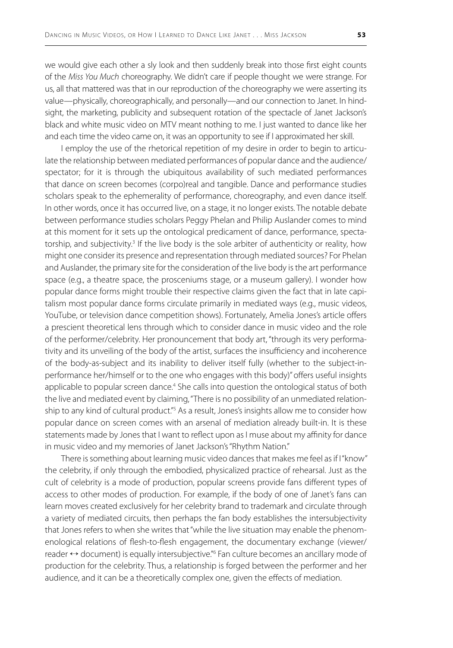we would give each other a sly look and then suddenly break into those first eight counts of the *Miss You Much* choreography. We didn't care if people thought we were strange. For us, all that mattered was that in our reproduction of the choreography we were asserting its value—physically, choreographically, and personally—and our connection to Janet. In hindsight, the marketing, publicity and subsequent rotation of the spectacle of Janet Jackson's black and white music video on MTV meant nothing to me. I just wanted to dance like her and each time the video came on, it was an opportunity to see if I approximated her skill.

I employ the use of the rhetorical repetition of my desire in order to begin to articulate the relationship between mediated performances of popular dance and the audience/ spectator; for it is through the ubiquitous availability of such mediated performances that dance on screen becomes (corpo)real and tangible. Dance and performance studies scholars speak to the ephemerality of performance, choreography, and even dance itself. In other words, once it has occurred live, on a stage, it no longer exists. The notable debate between performance studies scholars Peggy Phelan and Philip Auslander comes to mind at this moment for it sets up the ontological predicament of dance, performance, spectatorship, and subjectivity.<sup>3</sup> If the live body is the sole arbiter of authenticity or reality, how might one consider its presence and representation through mediated sources? For Phelan and Auslander, the primary site for the consideration of the live body is the art performance space (e.g., a theatre space, the prosceniums stage, or a museum gallery). I wonder how popular dance forms might trouble their respective claims given the fact that in late capitalism most popular dance forms circulate primarily in mediated ways (e.g., music videos, YouTube, or television dance competition shows). Fortunately, Amelia Jones's article offers a prescient theoretical lens through which to consider dance in music video and the role of the performer/celebrity. Her pronouncement that body art, "through its very performativity and its unveiling of the body of the artist, surfaces the insufficiency and incoherence of the body-as-subject and its inability to deliver itself fully (whether to the subject-inperformance her/himself or to the one who engages with this body)" offers useful insights applicable to popular screen dance.<sup>4</sup> She calls into question the ontological status of both the live and mediated event by claiming, "There is no possibility of an unmediated relationship to any kind of cultural product."<sup>5</sup> As a result, Jones's insights allow me to consider how popular dance on screen comes with an arsenal of mediation already built-in. It is these statements made by Jones that I want to reflect upon as I muse about my affinity for dance in music video and my memories of Janet Jackson's "Rhythm Nation."

There is something about learning music video dances that makes me feel as if I "know" the celebrity, if only through the embodied, physicalized practice of rehearsal. Just as the cult of celebrity is a mode of production, popular screens provide fans different types of access to other modes of production. For example, if the body of one of Janet's fans can learn moves created exclusively for her celebrity brand to trademark and circulate through a variety of mediated circuits, then perhaps the fan body establishes the intersubjectivity that Jones refers to when she writes that "while the live situation may enable the phenomenological relations of flesh-to-flesh engagement, the documentary exchange (viewer/ reader ↔ document) is equally intersubjective."<sup>6</sup> Fan culture becomes an ancillary mode of production for the celebrity. Thus, a relationship is forged between the performer and her audience, and it can be a theoretically complex one, given the effects of mediation.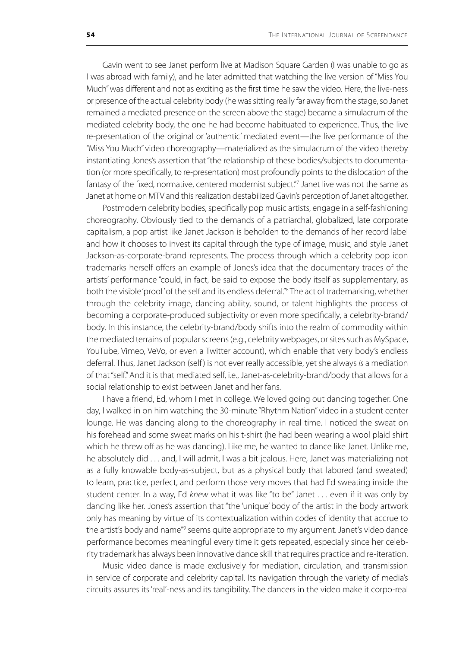Gavin went to see Janet perform live at Madison Square Garden (I was unable to go as I was abroad with family), and he later admitted that watching the live version of "Miss You Much" was different and not as exciting as the first time he saw the video. Here, the live-ness or presence of the actual celebrity body (he was sitting really far away from the stage, so Janet remained a mediated presence on the screen above the stage) became a simulacrum of the mediated celebrity body, the one he had become habituated to experience. Thus, the live re-presentation of the original or 'authentic' mediated event—the live performance of the "Miss You Much" video choreography—materialized as the simulacrum of the video thereby instantiating Jones's assertion that "the relationship of these bodies/subjects to documentation (or more specifically, to re-presentation) most profoundly points to the dislocation of the fantasy of the fixed, normative, centered modernist subject."7 Janet live was not the same as Janet at home on MTV and this realization destabilized Gavin's perception of Janet altogether.

Postmodern celebrity bodies, specifically pop music artists, engage in a self-fashioning choreography. Obviously tied to the demands of a patriarchal, globalized, late corporate capitalism, a pop artist like Janet Jackson is beholden to the demands of her record label and how it chooses to invest its capital through the type of image, music, and style Janet Jackson-as-corporate-brand represents. The process through which a celebrity pop icon trademarks herself offers an example of Jones's idea that the documentary traces of the artists' performance "could, in fact, be said to expose the body itself as supplementary, as both the visible 'proof' of the self and its endless deferral."8 The act of trademarking, whether through the celebrity image, dancing ability, sound, or talent highlights the process of becoming a corporate-produced subjectivity or even more specifically, a celebrity-brand/ body. In this instance, the celebrity-brand/body shifts into the realm of commodity within the mediated terrains of popular screens (e.g., celebrity webpages, or sites such as MySpace, YouTube, Vimeo, VeVo, or even a Twitter account), which enable that very body's endless deferral. Thus, Janet Jackson (self ) is not ever really accessible, yet she always *is* a mediation of that "self." And it is that mediated self, i.e., Janet-as-celebrity-brand/body that allows for a social relationship to exist between Janet and her fans.

I have a friend, Ed, whom I met in college. We loved going out dancing together. One day, I walked in on him watching the 30-minute "Rhythm Nation" video in a student center lounge. He was dancing along to the choreography in real time. I noticed the sweat on his forehead and some sweat marks on his t-shirt (he had been wearing a wool plaid shirt which he threw off as he was dancing). Like me, he wanted to dance like Janet. Unlike me, he absolutely did . . . and, I will admit, I was a bit jealous. Here, Janet was materializing not as a fully knowable body-as-subject, but as a physical body that labored (and sweated) to learn, practice, perfect, and perform those very moves that had Ed sweating inside the student center. In a way, Ed *knew* what it was like "to be" Janet . . . even if it was only by dancing like her. Jones's assertion that "the 'unique' body of the artist in the body artwork only has meaning by virtue of its contextualization within codes of identity that accrue to the artist's body and name"<sup>9</sup> seems quite appropriate to my argument. Janet's video dance performance becomes meaningful every time it gets repeated, especially since her celebrity trademark has always been innovative dance skill that requires practice and re-iteration.

Music video dance is made exclusively for mediation, circulation, and transmission in service of corporate and celebrity capital. Its navigation through the variety of media's circuits assures its 'real'-ness and its tangibility. The dancers in the video make it corpo-real